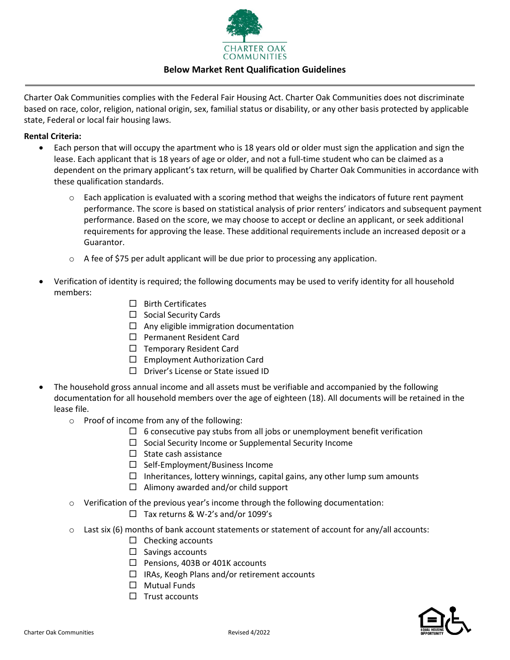

## **Below Market Rent Qualification Guidelines**

Charter Oak Communities complies with the Federal Fair Housing Act. Charter Oak Communities does not discriminate based on race, color, religion, national origin, sex, familial status or disability, or any other basis protected by applicable state, Federal or local fair housing laws.

### **Rental Criteria:**

- Each person that will occupy the apartment who is 18 years old or older must sign the application and sign the lease. Each applicant that is 18 years of age or older, and not a full-time student who can be claimed as a dependent on the primary applicant's tax return, will be qualified by Charter Oak Communities in accordance with these qualification standards.
	- $\circ$  Each application is evaluated with a scoring method that weighs the indicators of future rent payment performance. The score is based on statistical analysis of prior renters' indicators and subsequent payment performance. Based on the score, we may choose to accept or decline an applicant, or seek additional requirements for approving the lease. These additional requirements include an increased deposit or a Guarantor.
	- $\circ$  A fee of \$75 per adult applicant will be due prior to processing any application.
- Verification of identity is required; the following documents may be used to verify identity for all household members:
	- $\square$  Birth Certificates
	- $\Box$  Social Security Cards
	- $\Box$  Any eligible immigration documentation
	- □ Permanent Resident Card
	- $\Box$  Temporary Resident Card
	- $\square$  Employment Authorization Card
	- Driver's License or State issued ID
- The household gross annual income and all assets must be verifiable and accompanied by the following documentation for all household members over the age of eighteen (18). All documents will be retained in the lease file.
	- o Proof of income from any of the following:
		- $\Box$  6 consecutive pay stubs from all jobs or unemployment benefit verification
		- $\Box$  Social Security Income or Supplemental Security Income
		- $\square$  State cash assistance
		- $\Box$  Self-Employment/Business Income
		- $\Box$  Inheritances, lottery winnings, capital gains, any other lump sum amounts
		- $\Box$  Alimony awarded and/or child support
	- $\circ$  Verification of the previous year's income through the following documentation:
		- $\Box$  Tax returns & W-2's and/or 1099's
	- $\circ$  Last six (6) months of bank account statements or statement of account for any/all accounts:
		- $\Box$  Checking accounts
		- $\Box$  Savings accounts
		- $\Box$  Pensions, 403B or 401K accounts
		- $\Box$  IRAs, Keogh Plans and/or retirement accounts
		- $\Box$  Mutual Funds
		- $\Box$  Trust accounts

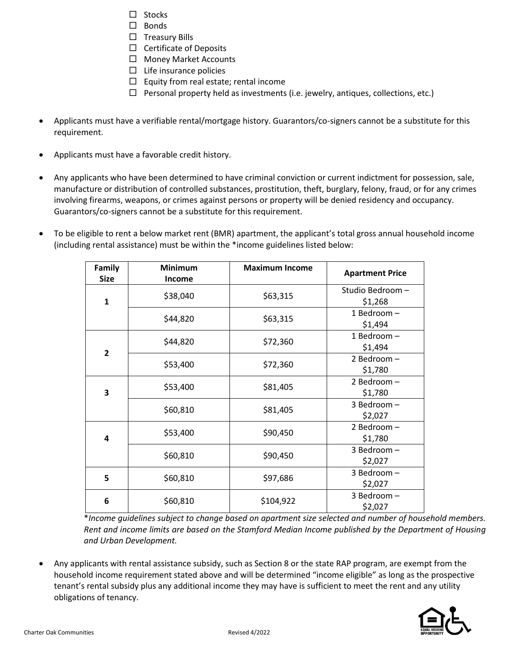- $\square$  Stocks
- $\square$  Bonds
- $\square$  Treasury Bills
- $\Box$  Certificate of Deposits
- □ Money Market Accounts
- $\square$  Life insurance policies
- $\Box$  Equity from real estate; rental income
- $\Box$  Personal property held as investments (i.e. jewelry, antiques, collections, etc.)
- Applicants must have a verifiable rental/mortgage history. Guarantors/co-signers cannot be a substitute for this requirement.
- Applicants must have a favorable credit history.
- Any applicants who have been determined to have criminal conviction or current indictment for possession, sale, manufacture or distribution of controlled substances, prostitution, theft, burglary, felony, fraud, or for any crimes involving firearms, weapons, or crimes against persons or property will be denied residency and occupancy. Guarantors/co-signers cannot be a substitute for this requirement.
- To be eligible to rent a below market rent (BMR) apartment, the applicant's total gross annual household income (including rental assistance) must be within the \*income guidelines listed below:

| Family<br><b>Size</b> | <b>Minimum</b><br><b>Income</b> | <b>Maximum Income</b> | <b>Apartment Price</b>     |
|-----------------------|---------------------------------|-----------------------|----------------------------|
| $\mathbf{1}$          | \$38,040                        | \$63,315              | Studio Bedroom-<br>\$1,268 |
|                       | \$44,820                        | \$63,315              | 1 Bedroom -<br>\$1,494     |
| $\overline{2}$        | \$44,820                        | \$72,360              | 1 Bedroom -<br>\$1,494     |
|                       | \$53,400                        | \$72,360              | 2 Bedroom-<br>\$1,780      |
| 3                     | \$53,400                        | \$81,405              | 2 Bedroom-<br>\$1,780      |
|                       | \$60,810                        | \$81,405              | 3 Bedroom-<br>\$2,027      |
| 4                     | \$53,400                        | \$90,450              | 2 Bedroom-<br>\$1,780      |
|                       | \$60,810                        | \$90,450              | 3 Bedroom-<br>\$2,027      |
| 5                     | \$60,810                        | \$97,686              | 3 Bedroom-<br>\$2,027      |
| 6                     | \$60,810                        | \$104,922             | 3 Bedroom-<br>\$2,027      |

\**Income guidelines subject to change based on apartment size selected and number of household members. Rent and income limits are based on the Stamford Median Income published by the Department of Housing and Urban Development.*

• Any applicants with rental assistance subsidy, such as Section 8 or the state RAP program, are exempt from the household income requirement stated above and will be determined "income eligible" as long as the prospective tenant's rental subsidy plus any additional income they may have is sufficient to meet the rent and any utility obligations of tenancy.

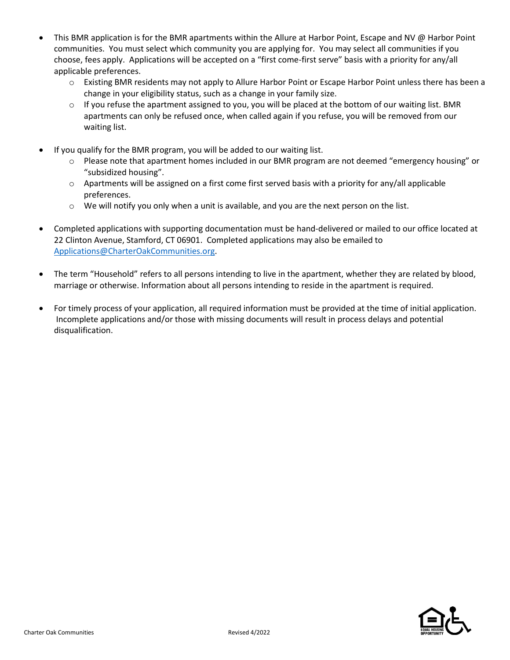- This BMR application is for the BMR apartments within the Allure at Harbor Point, Escape and NV @ Harbor Point communities. You must select which community you are applying for. You may select all communities if you choose, fees apply. Applications will be accepted on a "first come-first serve" basis with a priority for any/all applicable preferences.
	- o Existing BMR residents may not apply to Allure Harbor Point or Escape Harbor Point unless there has been a change in your eligibility status, such as a change in your family size.
	- $\circ$  If you refuse the apartment assigned to you, you will be placed at the bottom of our waiting list. BMR apartments can only be refused once, when called again if you refuse, you will be removed from our waiting list.
- If you qualify for the BMR program, you will be added to our waiting list.
	- o Please note that apartment homes included in our BMR program are not deemed "emergency housing" or "subsidized housing".
	- o Apartments will be assigned on a first come first served basis with a priority for any/all applicable preferences.
	- $\circ$  We will notify you only when a unit is available, and you are the next person on the list.
- Completed applications with supporting documentation must be hand-delivered or mailed to our office located at 22 Clinton Avenue, Stamford, CT 06901. Completed applications may also be emailed to [Applications@CharterOakCommunities.org.](mailto:Applications@CharterOakCommunities.org)
- The term "Household" refers to all persons intending to live in the apartment, whether they are related by blood, marriage or otherwise. Information about all persons intending to reside in the apartment is required.
- For timely process of your application, all required information must be provided at the time of initial application. Incomplete applications and/or those with missing documents will result in process delays and potential disqualification.

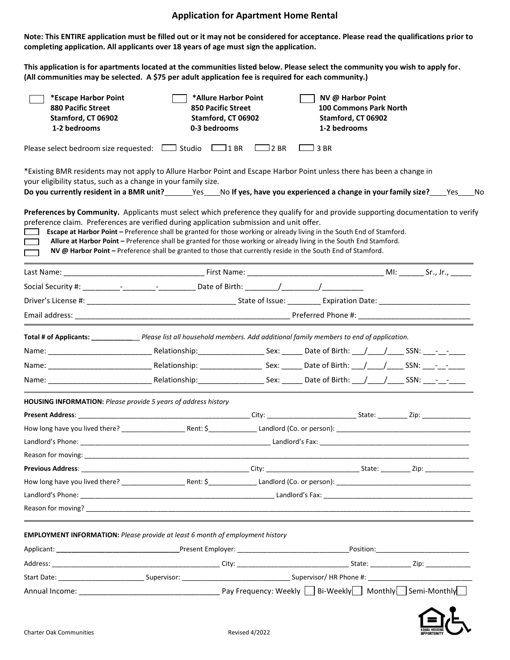## **Application for Apartment Home Rental**

**Note: This ENTIRE application must be filled out or it may not be considered for acceptance. Please read the qualifications prior to completing application. All applicants over 18 years of age must sign the application.**

**This application is for apartments located at the communities listed below. Please select the community you wish to apply for. (All communities may be selected. A \$75 per adult application fee is required for each community.)**

| *Escape Harbor Point<br><b>880 Pacific Street</b><br>Stamford, CT 06902<br>1-2 bedrooms | *Allure Harbor Point<br><b>850 Pacific Street</b><br>Stamford, CT 06902<br>0-3 bedrooms                                                                                                                                                                                                                                                                                                                                                                                                                                                                                                        |             | NV @ Harbor Point<br>Stamford, CT 06902<br>1-2 bedrooms | <b>100 Commons Park North</b> |  |
|-----------------------------------------------------------------------------------------|------------------------------------------------------------------------------------------------------------------------------------------------------------------------------------------------------------------------------------------------------------------------------------------------------------------------------------------------------------------------------------------------------------------------------------------------------------------------------------------------------------------------------------------------------------------------------------------------|-------------|---------------------------------------------------------|-------------------------------|--|
|                                                                                         | Please select bedroom size requested: $\Box$ Studio $\Box$ 1 BR                                                                                                                                                                                                                                                                                                                                                                                                                                                                                                                                | $\Box$ 2 BR | 3 BR                                                    |                               |  |
| your eligibility status, such as a change in your family size.                          | *Existing BMR residents may not apply to Allure Harbor Point and Escape Harbor Point unless there has been a change in<br>Do you currently resident in a BMR unit?<br>No gestinal of these, have you experienced a change in your family size? No No. 100.                                                                                                                                                                                                                                                                                                                                     |             |                                                         |                               |  |
|                                                                                         | Preferences by Community. Applicants must select which preference they qualify for and provide supporting documentation to verify<br>preference claim. Preferences are verified during application submission and unit offer.<br>Escape at Harbor Point - Preference shall be granted for those working or already living in the South End of Stamford.<br>Allure at Harbor Point - Preference shall be granted for those working or already living in the South End Stamford.<br>NV @ Harbor Point - Preference shall be granted to those that currently reside in the South End of Stamford. |             |                                                         |                               |  |
|                                                                                         |                                                                                                                                                                                                                                                                                                                                                                                                                                                                                                                                                                                                |             |                                                         |                               |  |
|                                                                                         |                                                                                                                                                                                                                                                                                                                                                                                                                                                                                                                                                                                                |             |                                                         |                               |  |
|                                                                                         |                                                                                                                                                                                                                                                                                                                                                                                                                                                                                                                                                                                                |             |                                                         |                               |  |
|                                                                                         |                                                                                                                                                                                                                                                                                                                                                                                                                                                                                                                                                                                                |             |                                                         |                               |  |
|                                                                                         | Total # of Applicants: ______________Please list all household members. Add additional family members to end of application.                                                                                                                                                                                                                                                                                                                                                                                                                                                                   |             |                                                         |                               |  |
|                                                                                         |                                                                                                                                                                                                                                                                                                                                                                                                                                                                                                                                                                                                |             |                                                         |                               |  |
|                                                                                         |                                                                                                                                                                                                                                                                                                                                                                                                                                                                                                                                                                                                |             |                                                         |                               |  |
|                                                                                         |                                                                                                                                                                                                                                                                                                                                                                                                                                                                                                                                                                                                |             |                                                         |                               |  |
| <b>HOUSING INFORMATION:</b> Please provide 5 years of address history                   |                                                                                                                                                                                                                                                                                                                                                                                                                                                                                                                                                                                                |             |                                                         |                               |  |
|                                                                                         |                                                                                                                                                                                                                                                                                                                                                                                                                                                                                                                                                                                                |             |                                                         |                               |  |
|                                                                                         |                                                                                                                                                                                                                                                                                                                                                                                                                                                                                                                                                                                                |             |                                                         |                               |  |
|                                                                                         |                                                                                                                                                                                                                                                                                                                                                                                                                                                                                                                                                                                                |             |                                                         |                               |  |
|                                                                                         |                                                                                                                                                                                                                                                                                                                                                                                                                                                                                                                                                                                                |             |                                                         |                               |  |
| <b>Previous Address:</b>                                                                |                                                                                                                                                                                                                                                                                                                                                                                                                                                                                                                                                                                                |             |                                                         |                               |  |
|                                                                                         |                                                                                                                                                                                                                                                                                                                                                                                                                                                                                                                                                                                                |             |                                                         |                               |  |
|                                                                                         |                                                                                                                                                                                                                                                                                                                                                                                                                                                                                                                                                                                                |             |                                                         |                               |  |
|                                                                                         |                                                                                                                                                                                                                                                                                                                                                                                                                                                                                                                                                                                                |             |                                                         |                               |  |
|                                                                                         | EMPLOYMENT INFORMATION: Please provide at least 6 month of employment history                                                                                                                                                                                                                                                                                                                                                                                                                                                                                                                  |             |                                                         |                               |  |
|                                                                                         |                                                                                                                                                                                                                                                                                                                                                                                                                                                                                                                                                                                                |             |                                                         |                               |  |
|                                                                                         |                                                                                                                                                                                                                                                                                                                                                                                                                                                                                                                                                                                                |             |                                                         |                               |  |
|                                                                                         |                                                                                                                                                                                                                                                                                                                                                                                                                                                                                                                                                                                                |             |                                                         |                               |  |
|                                                                                         |                                                                                                                                                                                                                                                                                                                                                                                                                                                                                                                                                                                                |             |                                                         |                               |  |

 $\prod_{\text{AL HOUSING}}$  (  $\sum$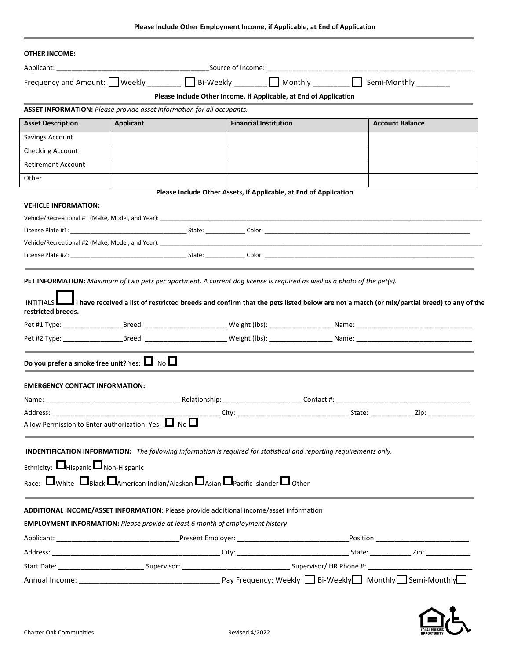| <b>OTHER INCOME:</b>                                                                                                                                                                                                                                                                                                                           |                  |                                                                                                                                         |  |                                                |  |
|------------------------------------------------------------------------------------------------------------------------------------------------------------------------------------------------------------------------------------------------------------------------------------------------------------------------------------------------|------------------|-----------------------------------------------------------------------------------------------------------------------------------------|--|------------------------------------------------|--|
|                                                                                                                                                                                                                                                                                                                                                |                  |                                                                                                                                         |  |                                                |  |
| Frequency and Amount: $\Box$ Weekly ________ $\Box$ Bi-Weekly _______ $\Box$ Monthly _______ $\Box$ Semi-Monthly _______                                                                                                                                                                                                                       |                  |                                                                                                                                         |  |                                                |  |
|                                                                                                                                                                                                                                                                                                                                                |                  | Please Include Other Income, if Applicable, at End of Application                                                                       |  |                                                |  |
| ASSET INFORMATION: Please provide asset information for all occupants.                                                                                                                                                                                                                                                                         |                  |                                                                                                                                         |  |                                                |  |
| <b>Asset Description</b>                                                                                                                                                                                                                                                                                                                       | <b>Applicant</b> | <b>Financial Institution</b>                                                                                                            |  | <b>Account Balance</b>                         |  |
| Savings Account                                                                                                                                                                                                                                                                                                                                |                  |                                                                                                                                         |  |                                                |  |
| Checking Account                                                                                                                                                                                                                                                                                                                               |                  |                                                                                                                                         |  |                                                |  |
| <b>Retirement Account</b>                                                                                                                                                                                                                                                                                                                      |                  |                                                                                                                                         |  |                                                |  |
| Other                                                                                                                                                                                                                                                                                                                                          |                  |                                                                                                                                         |  |                                                |  |
|                                                                                                                                                                                                                                                                                                                                                |                  | Please Include Other Assets, if Applicable, at End of Application                                                                       |  |                                                |  |
| <b>VEHICLE INFORMATION:</b>                                                                                                                                                                                                                                                                                                                    |                  |                                                                                                                                         |  |                                                |  |
|                                                                                                                                                                                                                                                                                                                                                |                  |                                                                                                                                         |  |                                                |  |
|                                                                                                                                                                                                                                                                                                                                                |                  |                                                                                                                                         |  |                                                |  |
| Vehicle/Recreational #2 (Make, Model, and Year): New York State and State and State and State and State and State and State and State and State and State and State and State and State and State and State and State and Stat                                                                                                                 |                  |                                                                                                                                         |  |                                                |  |
|                                                                                                                                                                                                                                                                                                                                                |                  |                                                                                                                                         |  |                                                |  |
|                                                                                                                                                                                                                                                                                                                                                |                  | I have received a list of restricted breeds and confirm that the pets listed below are not a match (or mix/partial breed) to any of the |  |                                                |  |
|                                                                                                                                                                                                                                                                                                                                                |                  |                                                                                                                                         |  |                                                |  |
|                                                                                                                                                                                                                                                                                                                                                |                  |                                                                                                                                         |  |                                                |  |
|                                                                                                                                                                                                                                                                                                                                                |                  |                                                                                                                                         |  |                                                |  |
| PET INFORMATION: Maximum of two pets per apartment. A current dog license is required as well as a photo of the pet(s).<br>restricted breeds.<br>Do you prefer a smoke free unit? Yes: $\Box$ No $\Box$<br><b>EMERGENCY CONTACT INFORMATION:</b>                                                                                               |                  |                                                                                                                                         |  |                                                |  |
|                                                                                                                                                                                                                                                                                                                                                |                  | __ City: ____________                                                                                                                   |  | ___________ State: __________________Zip: ____ |  |
|                                                                                                                                                                                                                                                                                                                                                |                  |                                                                                                                                         |  |                                                |  |
|                                                                                                                                                                                                                                                                                                                                                |                  |                                                                                                                                         |  |                                                |  |
| Address: Andreas Andrew Maria<br>Allow Permission to Enter authorization: Yes: $\Box$ No $\Box$<br>INDENTIFICATION INFORMATION: The following information is required for statistical and reporting requirements only.                                                                                                                         |                  |                                                                                                                                         |  |                                                |  |
|                                                                                                                                                                                                                                                                                                                                                |                  |                                                                                                                                         |  |                                                |  |
|                                                                                                                                                                                                                                                                                                                                                |                  |                                                                                                                                         |  |                                                |  |
|                                                                                                                                                                                                                                                                                                                                                |                  |                                                                                                                                         |  |                                                |  |
|                                                                                                                                                                                                                                                                                                                                                |                  |                                                                                                                                         |  |                                                |  |
|                                                                                                                                                                                                                                                                                                                                                |                  |                                                                                                                                         |  |                                                |  |
|                                                                                                                                                                                                                                                                                                                                                |                  |                                                                                                                                         |  |                                                |  |
| Ethnicity: $\Box$ Hispanic $\Box$ Non-Hispanic<br>Race: $\Box$ White $\Box$ Black $\Box$ American Indian/Alaskan $\Box$ Asian $\Box$ Pacific Islander $\Box$ Other<br>ADDITIONAL INCOME/ASSET INFORMATION: Please provide additional income/asset information<br>EMPLOYMENT INFORMATION: Please provide at least 6 month of employment history |                  |                                                                                                                                         |  |                                                |  |

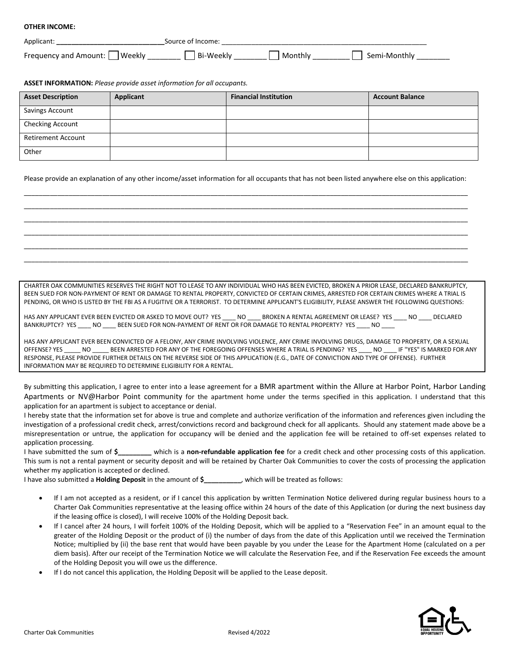#### **OTHER INCOME:**

| Applicant                           | Source of Income: |          |              |
|-------------------------------------|-------------------|----------|--------------|
| <b>Mee</b><br>Frequency and Amount: | Bi-Weekly         | .onthiv. | Semi-Monthly |

**ASSET INFORMATION:** *Please provide asset information for all occupants.*

| <b>Asset Description</b>  | Applicant | <b>Financial Institution</b> | <b>Account Balance</b> |
|---------------------------|-----------|------------------------------|------------------------|
| <b>Savings Account</b>    |           |                              |                        |
| Checking Account          |           |                              |                        |
| <b>Retirement Account</b> |           |                              |                        |
| Other                     |           |                              |                        |

Please provide an explanation of any other income/asset information for all occupants that has not been listed anywhere else on this application: \_\_\_\_\_\_\_\_\_\_\_\_\_\_\_\_\_\_\_\_\_\_\_\_\_\_\_\_\_\_\_\_\_\_\_\_\_\_\_\_\_\_\_\_\_\_\_\_\_\_\_\_\_\_\_\_\_\_\_\_\_\_\_\_\_\_\_\_\_\_\_\_\_\_\_\_\_\_\_\_\_\_\_\_\_\_\_\_\_\_\_\_\_\_\_\_\_\_\_\_\_\_\_\_\_\_\_\_\_\_\_\_\_\_\_\_\_\_\_

\_\_\_\_\_\_\_\_\_\_\_\_\_\_\_\_\_\_\_\_\_\_\_\_\_\_\_\_\_\_\_\_\_\_\_\_\_\_\_\_\_\_\_\_\_\_\_\_\_\_\_\_\_\_\_\_\_\_\_\_\_\_\_\_\_\_\_\_\_\_\_\_\_\_\_\_\_\_\_\_\_\_\_\_\_\_\_\_\_\_\_\_\_\_\_\_\_\_\_\_\_\_\_\_\_\_\_\_\_\_\_\_\_\_\_\_\_\_\_ \_\_\_\_\_\_\_\_\_\_\_\_\_\_\_\_\_\_\_\_\_\_\_\_\_\_\_\_\_\_\_\_\_\_\_\_\_\_\_\_\_\_\_\_\_\_\_\_\_\_\_\_\_\_\_\_\_\_\_\_\_\_\_\_\_\_\_\_\_\_\_\_\_\_\_\_\_\_\_\_\_\_\_\_\_\_\_\_\_\_\_\_\_\_\_\_\_\_\_\_\_\_\_\_\_\_\_\_\_\_\_\_\_\_\_\_\_\_\_ \_\_\_\_\_\_\_\_\_\_\_\_\_\_\_\_\_\_\_\_\_\_\_\_\_\_\_\_\_\_\_\_\_\_\_\_\_\_\_\_\_\_\_\_\_\_\_\_\_\_\_\_\_\_\_\_\_\_\_\_\_\_\_\_\_\_\_\_\_\_\_\_\_\_\_\_\_\_\_\_\_\_\_\_\_\_\_\_\_\_\_\_\_\_\_\_\_\_\_\_\_\_\_\_\_\_\_\_\_\_\_\_\_\_\_\_\_\_\_ \_\_\_\_\_\_\_\_\_\_\_\_\_\_\_\_\_\_\_\_\_\_\_\_\_\_\_\_\_\_\_\_\_\_\_\_\_\_\_\_\_\_\_\_\_\_\_\_\_\_\_\_\_\_\_\_\_\_\_\_\_\_\_\_\_\_\_\_\_\_\_\_\_\_\_\_\_\_\_\_\_\_\_\_\_\_\_\_\_\_\_\_\_\_\_\_\_\_\_\_\_\_\_\_\_\_\_\_\_\_\_\_\_\_\_\_\_\_\_ \_\_\_\_\_\_\_\_\_\_\_\_\_\_\_\_\_\_\_\_\_\_\_\_\_\_\_\_\_\_\_\_\_\_\_\_\_\_\_\_\_\_\_\_\_\_\_\_\_\_\_\_\_\_\_\_\_\_\_\_\_\_\_\_\_\_\_\_\_\_\_\_\_\_\_\_\_\_\_\_\_\_\_\_\_\_\_\_\_\_\_\_\_\_\_\_\_\_\_\_\_\_\_\_\_\_\_\_\_\_\_\_\_\_\_\_\_\_\_

CHARTER OAK COMMUNITIES RESERVES THE RIGHT NOT TO LEASE TO ANY INDIVIDUAL WHO HAS BEEN EVICTED, BROKEN A PRIOR LEASE, DECLARED BANKRUPTCY, BEEN SUED FOR NON-PAYMENT OF RENT OR DAMAGE TO RENTAL PROPERTY, CONVICTED OF CERTAIN CRIMES, ARRESTED FOR CERTAIN CRIMES WHERE A TRIAL IS PENDING, OR WHO IS LISTED BY THE FBI AS A FUGITIVE OR A TERRORIST. TO DETERMINE APPLICANT'S ELIGIBILITY, PLEASE ANSWER THE FOLLOWING QUESTIONS:

HAS ANY APPLICANT EVER BEEN EVICTED OR ASKED TO MOVE OUT? YES \_\_\_\_ NO \_\_\_\_ BROKEN A RENTAL AGREEMENT OR LEASE? YES \_\_\_\_ NO \_\_\_\_ DECLARED BANKRUPTCY? YES \_\_\_\_ NO \_\_\_\_ BEEN SUED FOR NON-PAYMENT OF RENT OR FOR DAMAGE TO RENTAL PROPERTY? YES \_\_\_\_ NO \_\_\_

HAS ANY APPLICANT EVER BEEN CONVICTED OF A FELONY, ANY CRIME INVOLVING VIOLENCE, ANY CRIME INVOLVING DRUGS, DAMAGE TO PROPERTY, OR A SEXUAL OFFENSE? YES NO BEEN ARRESTED FOR ANY OF THE FOREGOING OFFENSES WHERE A TRIAL IS PENDING? YES NO IF "YES" IS MARKED FOR ANY RESPONSE, PLEASE PROVIDE FURTHER DETAILS ON THE REVERSE SIDE OF THIS APPLICATION (E.G., DATE OF CONVICTION AND TYPE OF OFFENSE). FURTHER INFORMATION MAY BE REQUIRED TO DETERMINE ELIGIBILITY FOR A RENTAL.

By submitting this application, I agree to enter into a lease agreement for a BMR apartment within the Allure at Harbor Point, Harbor Landing Apartments or NV@Harbor Point community for the apartment home under the terms specified in this application. I understand that this application for an apartment is subject to acceptance or denial.

I hereby state that the information set for above is true and complete and authorize verification of the information and references given including the investigation of a professional credit check, arrest/convictions record and background check for all applicants. Should any statement made above be a misrepresentation or untrue, the application for occupancy will be denied and the application fee will be retained to off-set expenses related to application processing.

I have submitted the sum of **\$\_\_\_\_\_\_\_\_\_** which is a **non-refundable application fee** for a credit check and other processing costs of this application. This sum is not a rental payment or security deposit and will be retained by Charter Oak Communities to cover the costs of processing the application whether my application is accepted or declined.

I have also submitted a **Holding Deposit** in the amount of **\$\_\_\_\_\_\_\_\_\_\_**, which will be treated as follows:

- If I am not accepted as a resident, or if I cancel this application by written Termination Notice delivered during regular business hours to a Charter Oak Communities representative at the leasing office within 24 hours of the date of this Application (or during the next business day if the leasing office is closed), I will receive 100% of the Holding Deposit back.
- If I cancel after 24 hours, I will forfeit 100% of the Holding Deposit, which will be applied to a "Reservation Fee" in an amount equal to the greater of the Holding Deposit or the product of (i) the number of days from the date of this Application until we received the Termination Notice; multiplied by (ii) the base rent that would have been payable by you under the Lease for the Apartment Home (calculated on a per diem basis). After our receipt of the Termination Notice we will calculate the Reservation Fee, and if the Reservation Fee exceeds the amount of the Holding Deposit you will owe us the difference.
- If I do not cancel this application, the Holding Deposit will be applied to the Lease deposit.

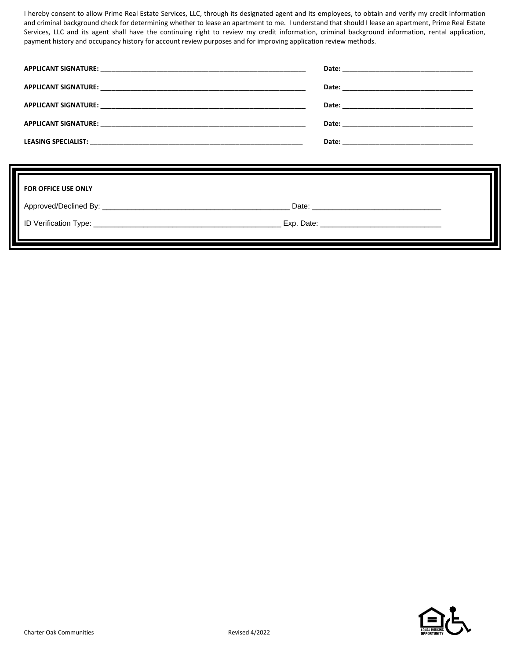I hereby consent to allow Prime Real Estate Services, LLC, through its designated agent and its employees, to obtain and verify my credit information and criminal background check for determining whether to lease an apartment to me. I understand that should I lease an apartment, Prime Real Estate Services, LLC and its agent shall have the continuing right to review my credit information, criminal background information, rental application, payment history and occupancy history for account review purposes and for improving application review methods.

| <b>FOR OFFICE USE ONLY</b> |  |
|----------------------------|--|
|                            |  |

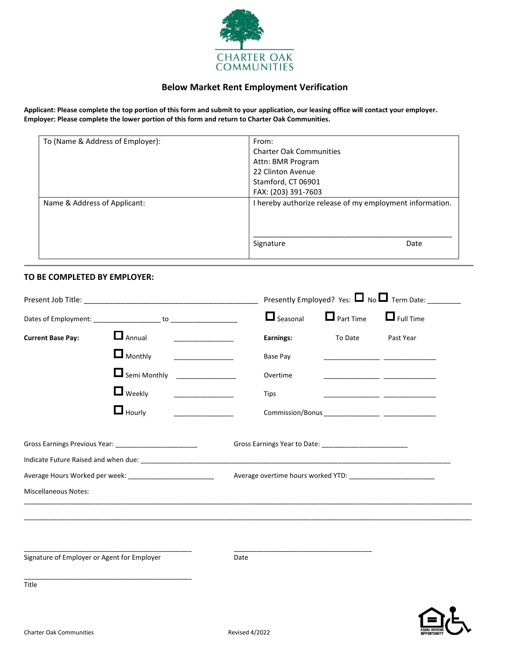

## **Below Market Rent Employment Verification**

**Applicant: Please complete the top portion of this form and submit to your application, our leasing office will contact your employer. Employer: Please complete the lower portion of this form and return to Charter Oak Communities.**

| To (Name & Address of Employer): | From:                                                    |  |  |  |
|----------------------------------|----------------------------------------------------------|--|--|--|
|                                  | <b>Charter Oak Communities</b><br>Attn: BMR Program      |  |  |  |
|                                  |                                                          |  |  |  |
|                                  | 22 Clinton Avenue                                        |  |  |  |
|                                  | Stamford, CT 06901                                       |  |  |  |
|                                  | FAX: (203) 391-7603                                      |  |  |  |
| Name & Address of Applicant:     | I hereby authorize release of my employment information. |  |  |  |
|                                  | Signature<br>Date                                        |  |  |  |

### **TO BE COMPLETED BY EMPLOYER:**

|                                             |                                                            |      | Presently Employed? Yes: $\Box$ No $\Box$ Term Date: |                                                                                                                                                                                                                                |           |  |
|---------------------------------------------|------------------------------------------------------------|------|------------------------------------------------------|--------------------------------------------------------------------------------------------------------------------------------------------------------------------------------------------------------------------------------|-----------|--|
|                                             |                                                            |      | $\Box$ Seasonal                                      | $\Box$ Part Time $\Box$ Full Time                                                                                                                                                                                              |           |  |
| <b>Current Base Pay:</b>                    | <b>Annual</b> _______________                              |      | Earnings:                                            | To Date                                                                                                                                                                                                                        | Past Year |  |
|                                             | $\Box$ Monthly                                             |      | Base Pay                                             |                                                                                                                                                                                                                                |           |  |
|                                             | Semi Monthly ______________                                |      | Overtime                                             |                                                                                                                                                                                                                                |           |  |
|                                             | $\Box$ Weekly                                              |      | <b>Tips</b>                                          |                                                                                                                                                                                                                                |           |  |
|                                             | $\Box$ Hourly                                              |      |                                                      |                                                                                                                                                                                                                                |           |  |
|                                             | Gross Earnings Previous Year: _________________________    |      |                                                      | Gross Earnings Year to Date: Sample of the Search Search Search Search Search Search Search Search Search Search Search Search Search Search Search Search Search Search Search Search Search Search Search Search Search Sear |           |  |
|                                             |                                                            |      |                                                      |                                                                                                                                                                                                                                |           |  |
|                                             | Average Hours Worked per week: ___________________________ |      |                                                      |                                                                                                                                                                                                                                |           |  |
| <b>Miscellaneous Notes:</b>                 |                                                            |      |                                                      |                                                                                                                                                                                                                                |           |  |
|                                             |                                                            |      |                                                      |                                                                                                                                                                                                                                |           |  |
|                                             |                                                            |      |                                                      |                                                                                                                                                                                                                                |           |  |
|                                             |                                                            |      |                                                      |                                                                                                                                                                                                                                |           |  |
| Signature of Employer or Agent for Employer |                                                            | Date |                                                      |                                                                                                                                                                                                                                |           |  |

Title

\_\_\_\_\_\_\_\_\_\_\_\_\_\_\_\_\_\_\_\_\_\_\_\_\_\_\_\_\_\_\_\_\_\_\_\_\_\_\_\_\_\_\_\_\_